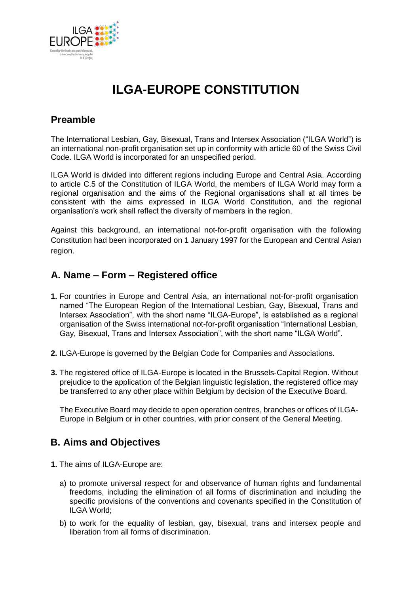

# **ILGA-EUROPE CONSTITUTION**

### **Preamble**

The International Lesbian, Gay, Bisexual, Trans and Intersex Association ("ILGA World") is an international non-profit organisation set up in conformity with article 60 of the Swiss Civil Code. ILGA World is incorporated for an unspecified period.

ILGA World is divided into different regions including Europe and Central Asia. According to article C.5 of the Constitution of ILGA World, the members of ILGA World may form a regional organisation and the aims of the Regional organisations shall at all times be consistent with the aims expressed in ILGA World Constitution, and the regional organisation's work shall reflect the diversity of members in the region.

Against this background, an international not-for-profit organisation with the following Constitution had been incorporated on 1 January 1997 for the European and Central Asian region.

#### **A. Name – Form – Registered office**

- **1.** For countries in Europe and Central Asia, an international not-for-profit organisation named "The European Region of the International Lesbian, Gay, Bisexual, Trans and Intersex Association", with the short name "ILGA-Europe", is established as a regional organisation of the Swiss international not-for-profit organisation "International Lesbian, Gay, Bisexual, Trans and Intersex Association", with the short name "ILGA World".
- **2.** ILGA-Europe is governed by the Belgian Code for Companies and Associations.
- **3.** The registered office of ILGA-Europe is located in the Brussels-Capital Region. Without prejudice to the application of the Belgian linguistic legislation, the registered office may be transferred to any other place within Belgium by decision of the Executive Board.

The Executive Board may decide to open operation centres, branches or offices of ILGA-Europe in Belgium or in other countries, with prior consent of the General Meeting.

### **B. Aims and Objectives**

- **1.** The aims of ILGA-Europe are:
	- a) to promote universal respect for and observance of human rights and fundamental freedoms, including the elimination of all forms of discrimination and including the specific provisions of the conventions and covenants specified in the Constitution of ILGA World;
	- b) to work for the equality of lesbian, gay, bisexual, trans and intersex people and liberation from all forms of discrimination.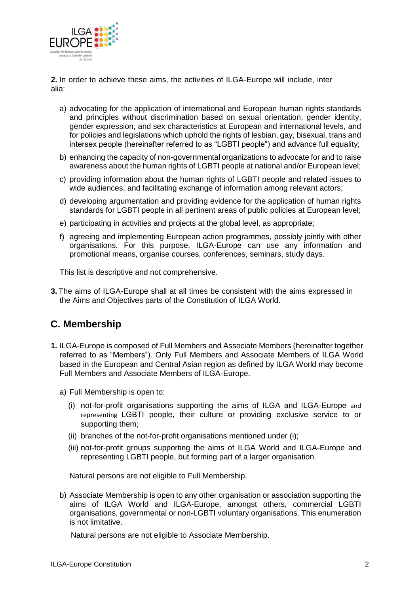

**2.** In order to achieve these aims, the activities of ILGA-Europe will include, inter alia:

- a) advocating for the application of international and European human rights standards and principles without discrimination based on sexual orientation, gender identity, gender expression, and sex characteristics at European and international levels, and for policies and legislations which uphold the rights of lesbian, gay, bisexual, trans and intersex people (hereinafter referred to as "LGBTI people") and advance full equality;
- b) enhancing the capacity of non-governmental organizations to advocate for and to raise awareness about the human rights of LGBTI people at national and/or European level;
- c) providing information about the human rights of LGBTI people and related issues to wide audiences, and facilitating exchange of information among relevant actors;
- d) developing argumentation and providing evidence for the application of human rights standards for LGBTI people in all pertinent areas of public policies at European level;
- e) participating in activities and projects at the global level, as appropriate;
- f) agreeing and implementing European action programmes, possibly jointly with other organisations. For this purpose, ILGA-Europe can use any information and promotional means, organise courses, conferences, seminars, study days.

This list is descriptive and not comprehensive.

**3.** The aims of ILGA-Europe shall at all times be consistent with the aims expressed in the Aims and Objectives parts of the Constitution of ILGA World.

# **C. Membership**

- **1.** ILGA-Europe is composed of Full Members and Associate Members (hereinafter together referred to as "Members"). Only Full Members and Associate Members of ILGA World based in the European and Central Asian region as defined by ILGA World may become Full Members and Associate Members of ILGA-Europe.
	- a) Full Membership is open to:
		- (i) not-for-profit organisations supporting the aims of ILGA and ILGA-Europe and representing LGBTI people, their culture or providing exclusive service to or supporting them;
		- (ii) branches of the not-for-profit organisations mentioned under (i);
		- (iii) not-for-profit groups supporting the aims of ILGA World and ILGA-Europe and representing LGBTI people, but forming part of a larger organisation.

Natural persons are not eligible to Full Membership.

b) Associate Membership is open to any other organisation or association supporting the aims of ILGA World and ILGA-Europe, amongst others, commercial LGBTI organisations, governmental or non-LGBTI voluntary organisations. This enumeration is not limitative.

Natural persons are not eligible to Associate Membership.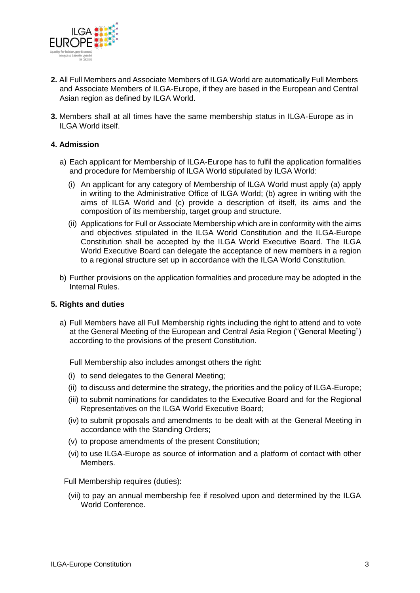

- **2.** All Full Members and Associate Members of ILGA World are automatically Full Members and Associate Members of ILGA-Europe, if they are based in the European and Central Asian region as defined by ILGA World.
- **3.** Members shall at all times have the same membership status in ILGA-Europe as in ILGA World itself.

#### **4. Admission**

- a) Each applicant for Membership of ILGA-Europe has to fulfil the application formalities and procedure for Membership of ILGA World stipulated by ILGA World:
	- (i) An applicant for any category of Membership of ILGA World must apply (a) apply in writing to the Administrative Office of ILGA World; (b) agree in writing with the aims of ILGA World and (c) provide a description of itself, its aims and the composition of its membership, target group and structure.
	- (ii) Applications for Full or Associate Membership which are in conformity with the aims and objectives stipulated in the ILGA World Constitution and the ILGA-Europe Constitution shall be accepted by the ILGA World Executive Board. The ILGA World Executive Board can delegate the acceptance of new members in a region to a regional structure set up in accordance with the ILGA World Constitution.
- b) Further provisions on the application formalities and procedure may be adopted in the Internal Rules.

#### **5. Rights and duties**

a) Full Members have all Full Membership rights including the right to attend and to vote at the General Meeting of the European and Central Asia Region ("General Meeting") according to the provisions of the present Constitution.

Full Membership also includes amongst others the right:

- (i) to send delegates to the General Meeting;
- (ii) to discuss and determine the strategy, the priorities and the policy of ILGA-Europe;
- (iii) to submit nominations for candidates to the Executive Board and for the Regional Representatives on the ILGA World Executive Board;
- (iv) to submit proposals and amendments to be dealt with at the General Meeting in accordance with the Standing Orders;
- (v) to propose amendments of the present Constitution;
- (vi) to use ILGA-Europe as source of information and a platform of contact with other Members.

Full Membership requires (duties):

(vii) to pay an annual membership fee if resolved upon and determined by the ILGA World Conference.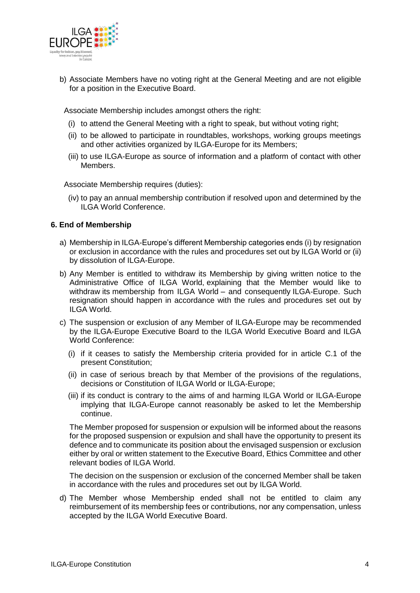

b) Associate Members have no voting right at the General Meeting and are not eligible for a position in the Executive Board.

Associate Membership includes amongst others the right:

- (i) to attend the General Meeting with a right to speak, but without voting right;
- (ii) to be allowed to participate in roundtables, workshops, working groups meetings and other activities organized by ILGA-Europe for its Members;
- (iii) to use ILGA-Europe as source of information and a platform of contact with other Members.

Associate Membership requires (duties):

(iv) to pay an annual membership contribution if resolved upon and determined by the ILGA World Conference.

#### **6. End of Membership**

- a) Membership in ILGA-Europe's different Membership categories ends (i) by resignation or exclusion in accordance with the rules and procedures set out by ILGA World or (ii) by dissolution of ILGA-Europe.
- b) Any Member is entitled to withdraw its Membership by giving written notice to the Administrative Office of ILGA World, explaining that the Member would like to withdraw its membership from ILGA World – and consequently ILGA-Europe. Such resignation should happen in accordance with the rules and procedures set out by ILGA World.
- c) The suspension or exclusion of any Member of ILGA-Europe may be recommended by the ILGA-Europe Executive Board to the ILGA World Executive Board and ILGA World Conference:
	- (i) if it ceases to satisfy the Membership criteria provided for in article C.1 of the present Constitution;
	- (ii) in case of serious breach by that Member of the provisions of the regulations, decisions or Constitution of ILGA World or ILGA-Europe;
	- (iii) if its conduct is contrary to the aims of and harming ILGA World or ILGA-Europe implying that ILGA-Europe cannot reasonably be asked to let the Membership continue.

The Member proposed for suspension or expulsion will be informed about the reasons for the proposed suspension or expulsion and shall have the opportunity to present its defence and to communicate its position about the envisaged suspension or exclusion either by oral or written statement to the Executive Board, Ethics Committee and other relevant bodies of ILGA World.

The decision on the suspension or exclusion of the concerned Member shall be taken in accordance with the rules and procedures set out by ILGA World.

d) The Member whose Membership ended shall not be entitled to claim any reimbursement of its membership fees or contributions, nor any compensation, unless accepted by the ILGA World Executive Board.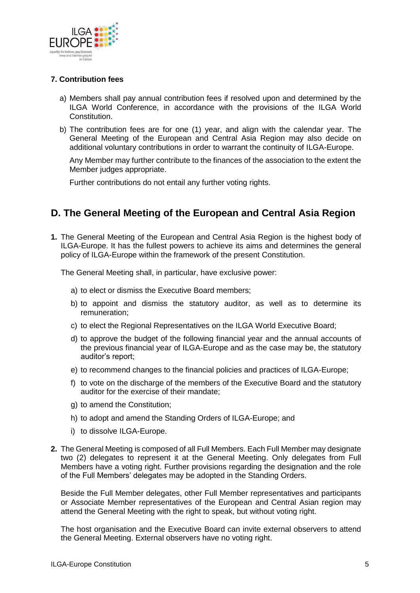

#### **7. Contribution fees**

- a) Members shall pay annual contribution fees if resolved upon and determined by the ILGA World Conference, in accordance with the provisions of the ILGA World Constitution.
- b) The contribution fees are for one (1) year, and align with the calendar year. The General Meeting of the European and Central Asia Region may also decide on additional voluntary contributions in order to warrant the continuity of ILGA-Europe.

Any Member may further contribute to the finances of the association to the extent the Member judges appropriate.

Further contributions do not entail any further voting rights.

### **D. The General Meeting of the European and Central Asia Region**

**1.** The General Meeting of the European and Central Asia Region is the highest body of ILGA-Europe. It has the fullest powers to achieve its aims and determines the general policy of ILGA-Europe within the framework of the present Constitution.

The General Meeting shall, in particular, have exclusive power:

- a) to elect or dismiss the Executive Board members;
- b) to appoint and dismiss the statutory auditor, as well as to determine its remuneration;
- c) to elect the Regional Representatives on the ILGA World Executive Board;
- d) to approve the budget of the following financial year and the annual accounts of the previous financial year of ILGA-Europe and as the case may be, the statutory auditor's report;
- e) to recommend changes to the financial policies and practices of ILGA-Europe;
- f) to vote on the discharge of the members of the Executive Board and the statutory auditor for the exercise of their mandate;
- g) to amend the Constitution;
- h) to adopt and amend the Standing Orders of ILGA-Europe; and
- i) to dissolve ILGA-Europe.
- **2.** The General Meeting is composed of all Full Members. Each Full Member may designate two (2) delegates to represent it at the General Meeting. Only delegates from Full Members have a voting right. Further provisions regarding the designation and the role of the Full Members' delegates may be adopted in the Standing Orders.

Beside the Full Member delegates, other Full Member representatives and participants or Associate Member representatives of the European and Central Asian region may attend the General Meeting with the right to speak, but without voting right.

The host organisation and the Executive Board can invite external observers to attend the General Meeting. External observers have no voting right.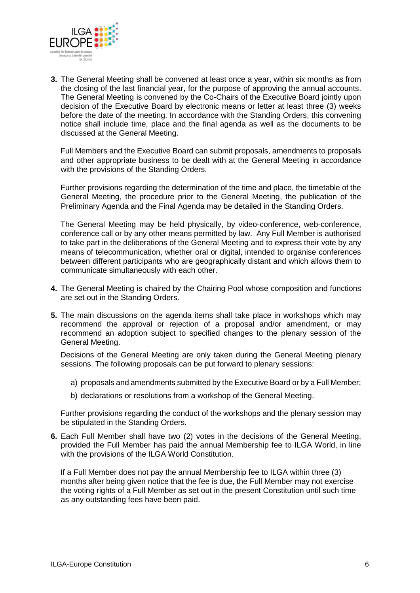

**3.** The General Meeting shall be convened at least once a year, within six months as from the closing of the last financial year, for the purpose of approving the annual accounts. The General Meeting is convened by the Co-Chairs of the Executive Board jointly upon decision of the Executive Board by electronic means or letter at least three (3) weeks before the date of the meeting. In accordance with the Standing Orders, this convening notice shall include time, place and the final agenda as well as the documents to be discussed at the General Meeting.

Full Members and the Executive Board can submit proposals, amendments to proposals and other appropriate business to be dealt with at the General Meeting in accordance with the provisions of the Standing Orders.

Further provisions regarding the determination of the time and place, the timetable of the General Meeting, the procedure prior to the General Meeting, the publication of the Preliminary Agenda and the Final Agenda may be detailed in the Standing Orders.

The General Meeting may be held physically, by video-conference, web-conference, conference call or by any other means permitted by law. Any Full Member is authorised to take part in the deliberations of the General Meeting and to express their vote by any means of telecommunication, whether oral or digital, intended to organise conferences between different participants who are geographically distant and which allows them to communicate simultaneously with each other.

- **4.** The General Meeting is chaired by the Chairing Pool whose composition and functions are set out in the Standing Orders.
- **5.** The main discussions on the agenda items shall take place in workshops which may recommend the approval or rejection of a proposal and/or amendment, or may recommend an adoption subject to specified changes to the plenary session of the General Meeting.

Decisions of the General Meeting are only taken during the General Meeting plenary sessions. The following proposals can be put forward to plenary sessions:

- a) proposals and amendments submitted by the Executive Board or by a Full Member;
- b) declarations or resolutions from a workshop of the General Meeting.

Further provisions regarding the conduct of the workshops and the plenary session may be stipulated in the Standing Orders.

**6.** Each Full Member shall have two (2) votes in the decisions of the General Meeting, provided the Full Member has paid the annual Membership fee to ILGA World, in line with the provisions of the ILGA World Constitution.

If a Full Member does not pay the annual Membership fee to ILGA within three (3) months after being given notice that the fee is due, the Full Member may not exercise the voting rights of a Full Member as set out in the present Constitution until such time as any outstanding fees have been paid.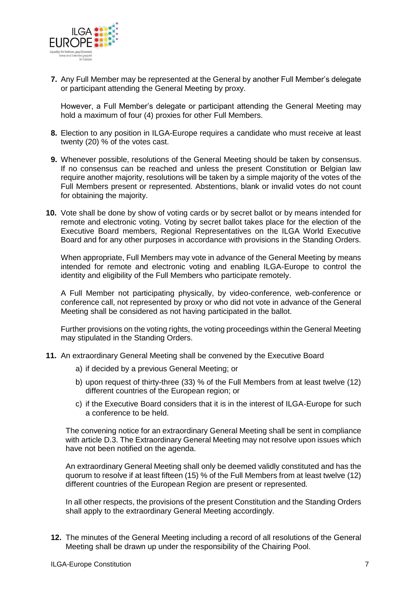

**7.** Any Full Member may be represented at the General by another Full Member's delegate or participant attending the General Meeting by proxy.

However, a Full Member's delegate or participant attending the General Meeting may hold a maximum of four (4) proxies for other Full Members.

- **8.** Election to any position in ILGA-Europe requires a candidate who must receive at least twenty (20) % of the votes cast.
- **9.** Whenever possible, resolutions of the General Meeting should be taken by consensus. If no consensus can be reached and unless the present Constitution or Belgian law require another majority, resolutions will be taken by a simple majority of the votes of the Full Members present or represented. Abstentions, blank or invalid votes do not count for obtaining the majority.
- **10.** Vote shall be done by show of voting cards or by secret ballot or by means intended for remote and electronic voting. Voting by secret ballot takes place for the election of the Executive Board members, Regional Representatives on the ILGA World Executive Board and for any other purposes in accordance with provisions in the Standing Orders.

When appropriate, Full Members may vote in advance of the General Meeting by means intended for remote and electronic voting and enabling ILGA-Europe to control the identity and eligibility of the Full Members who participate remotely.

A Full Member not participating physically, by video-conference, web-conference or conference call, not represented by proxy or who did not vote in advance of the General Meeting shall be considered as not having participated in the ballot.

Further provisions on the voting rights, the voting proceedings within the General Meeting may stipulated in the Standing Orders.

- **11.** An extraordinary General Meeting shall be convened by the Executive Board
	- a) if decided by a previous General Meeting; or
	- b) upon request of thirty-three (33) % of the Full Members from at least twelve (12) different countries of the European region; or
	- c) if the Executive Board considers that it is in the interest of ILGA-Europe for such a conference to be held.

The convening notice for an extraordinary General Meeting shall be sent in compliance with article D.3. The Extraordinary General Meeting may not resolve upon issues which have not been notified on the agenda.

An extraordinary General Meeting shall only be deemed validly constituted and has the quorum to resolve if at least fifteen (15) % of the Full Members from at least twelve (12) different countries of the European Region are present or represented.

In all other respects, the provisions of the present Constitution and the Standing Orders shall apply to the extraordinary General Meeting accordingly.

**12.** The minutes of the General Meeting including a record of all resolutions of the General Meeting shall be drawn up under the responsibility of the Chairing Pool.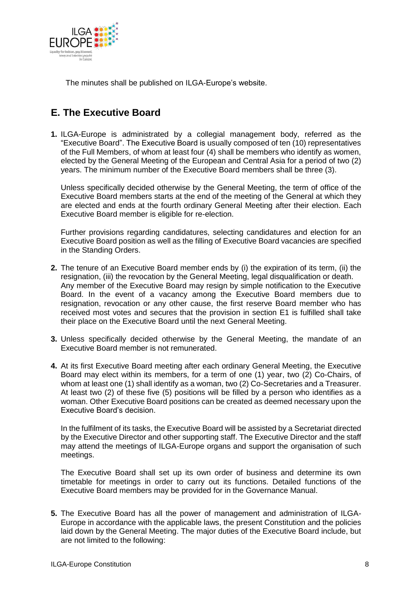

The minutes shall be published on ILGA-Europe's website.

# **E. The Executive Board**

**1.** ILGA-Europe is administrated by a collegial management body, referred as the "Executive Board". The Executive Board is usually composed of ten (10) representatives of the Full Members, of whom at least four (4) shall be members who identify as women, elected by the General Meeting of the European and Central Asia for a period of two (2) years. The minimum number of the Executive Board members shall be three (3).

Unless specifically decided otherwise by the General Meeting, the term of office of the Executive Board members starts at the end of the meeting of the General at which they are elected and ends at the fourth ordinary General Meeting after their election. Each Executive Board member is eligible for re-election.

Further provisions regarding candidatures, selecting candidatures and election for an Executive Board position as well as the filling of Executive Board vacancies are specified in the Standing Orders.

- **2.** The tenure of an Executive Board member ends by (i) the expiration of its term, (ii) the resignation, (iii) the revocation by the General Meeting, legal disqualification or death. Any member of the Executive Board may resign by simple notification to the Executive Board. In the event of a vacancy among the Executive Board members due to resignation, revocation or any other cause, the first reserve Board member who has received most votes and secures that the provision in section E1 is fulfilled shall take their place on the Executive Board until the next General Meeting.
- **3.** Unless specifically decided otherwise by the General Meeting, the mandate of an Executive Board member is not remunerated.
- **4.** At its first Executive Board meeting after each ordinary General Meeting, the Executive Board may elect within its members, for a term of one (1) year, two (2) Co-Chairs, of whom at least one (1) shall identify as a woman, two (2) Co-Secretaries and a Treasurer. At least two (2) of these five (5) positions will be filled by a person who identifies as a woman. Other Executive Board positions can be created as deemed necessary upon the Executive Board's decision.

In the fulfilment of its tasks, the Executive Board will be assisted by a Secretariat directed by the Executive Director and other supporting staff. The Executive Director and the staff may attend the meetings of ILGA-Europe organs and support the organisation of such meetings.

The Executive Board shall set up its own order of business and determine its own timetable for meetings in order to carry out its functions. Detailed functions of the Executive Board members may be provided for in the Governance Manual.

**5.** The Executive Board has all the power of management and administration of ILGA-Europe in accordance with the applicable laws, the present Constitution and the policies laid down by the General Meeting. The major duties of the Executive Board include, but are not limited to the following: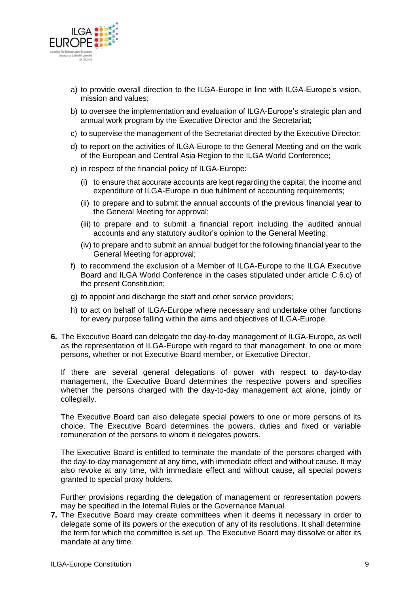

- a) to provide overall direction to the ILGA-Europe in line with ILGA-Europe's vision, mission and values;
- b) to oversee the implementation and evaluation of ILGA-Europe's strategic plan and annual work program by the Executive Director and the Secretariat;
- c) to supervise the management of the Secretariat directed by the Executive Director;
- d) to report on the activities of ILGA-Europe to the General Meeting and on the work of the European and Central Asia Region to the ILGA World Conference;
- e) in respect of the financial policy of ILGA-Europe:
	- (i) to ensure that accurate accounts are kept regarding the capital, the income and expenditure of ILGA-Europe in due fulfilment of accounting requirements;
	- (ii) to prepare and to submit the annual accounts of the previous financial year to the General Meeting for approval;
	- (iii) to prepare and to submit a financial report including the audited annual accounts and any statutory auditor's opinion to the General Meeting;
	- (iv) to prepare and to submit an annual budget for the following financial year to the General Meeting for approval;
- f) to recommend the exclusion of a Member of ILGA-Europe to the ILGA Executive Board and ILGA World Conference in the cases stipulated under article C.6.c) of the present Constitution;
- g) to appoint and discharge the staff and other service providers;
- h) to act on behalf of ILGA-Europe where necessary and undertake other functions for every purpose falling within the aims and objectives of ILGA-Europe.
- **6.** The Executive Board can delegate the day-to-day management of ILGA-Europe, as well as the representation of ILGA-Europe with regard to that management, to one or more persons, whether or not Executive Board member, or Executive Director.

If there are several general delegations of power with respect to day-to-day management, the Executive Board determines the respective powers and specifies whether the persons charged with the day-to-day management act alone, jointly or collegially.

The Executive Board can also delegate special powers to one or more persons of its choice. The Executive Board determines the powers, duties and fixed or variable remuneration of the persons to whom it delegates powers.

The Executive Board is entitled to terminate the mandate of the persons charged with the day-to-day management at any time, with immediate effect and without cause. It may also revoke at any time, with immediate effect and without cause, all special powers granted to special proxy holders.

Further provisions regarding the delegation of management or representation powers may be specified in the Internal Rules or the Governance Manual.

**7.** The Executive Board may create committees when it deems it necessary in order to delegate some of its powers or the execution of any of its resolutions. It shall determine the term for which the committee is set up. The Executive Board may dissolve or alter its mandate at any time.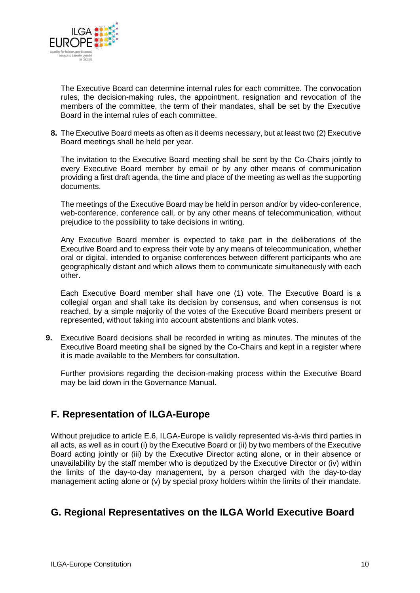

The Executive Board can determine internal rules for each committee. The convocation rules, the decision-making rules, the appointment, resignation and revocation of the members of the committee, the term of their mandates, shall be set by the Executive Board in the internal rules of each committee.

**8.** The Executive Board meets as often as it deems necessary, but at least two (2) Executive Board meetings shall be held per year.

The invitation to the Executive Board meeting shall be sent by the Co-Chairs jointly to every Executive Board member by email or by any other means of communication providing a first draft agenda, the time and place of the meeting as well as the supporting documents.

The meetings of the Executive Board may be held in person and/or by video-conference, web-conference, conference call, or by any other means of telecommunication, without prejudice to the possibility to take decisions in writing.

Any Executive Board member is expected to take part in the deliberations of the Executive Board and to express their vote by any means of telecommunication, whether oral or digital, intended to organise conferences between different participants who are geographically distant and which allows them to communicate simultaneously with each other.

Each Executive Board member shall have one (1) vote. The Executive Board is a collegial organ and shall take its decision by consensus, and when consensus is not reached, by a simple majority of the votes of the Executive Board members present or represented, without taking into account abstentions and blank votes.

**9.** Executive Board decisions shall be recorded in writing as minutes. The minutes of the Executive Board meeting shall be signed by the Co-Chairs and kept in a register where it is made available to the Members for consultation.

Further provisions regarding the decision-making process within the Executive Board may be laid down in the Governance Manual.

#### **F. Representation of ILGA-Europe**

Without prejudice to article E.6, ILGA-Europe is validly represented vis-à-vis third parties in all acts, as well as in court (i) by the Executive Board or (ii) by two members of the Executive Board acting jointly or (iii) by the Executive Director acting alone, or in their absence or unavailability by the staff member who is deputized by the Executive Director or (iv) within the limits of the day-to-day management, by a person charged with the day-to-day management acting alone or (v) by special proxy holders within the limits of their mandate.

### **G. Regional Representatives on the ILGA World Executive Board**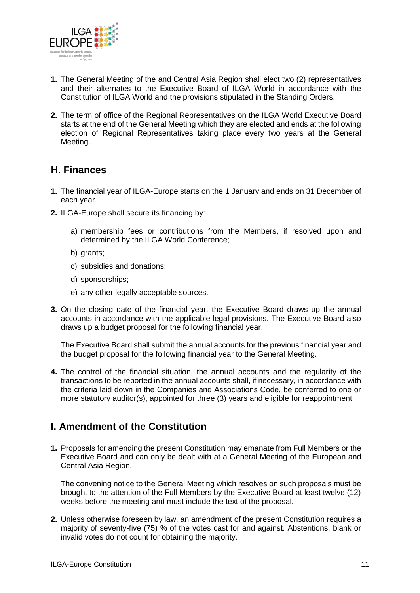

- **1.** The General Meeting of the and Central Asia Region shall elect two (2) representatives and their alternates to the Executive Board of ILGA World in accordance with the Constitution of ILGA World and the provisions stipulated in the Standing Orders.
- **2.** The term of office of the Regional Representatives on the ILGA World Executive Board starts at the end of the General Meeting which they are elected and ends at the following election of Regional Representatives taking place every two years at the General Meeting.

### **H. Finances**

- **1.** The financial year of ILGA-Europe starts on the 1 January and ends on 31 December of each year.
- **2.** ILGA-Europe shall secure its financing by:
	- a) membership fees or contributions from the Members, if resolved upon and determined by the ILGA World Conference;
	- b) grants;
	- c) subsidies and donations;
	- d) sponsorships;
	- e) any other legally acceptable sources.
- **3.** On the closing date of the financial year, the Executive Board draws up the annual accounts in accordance with the applicable legal provisions. The Executive Board also draws up a budget proposal for the following financial year.

The Executive Board shall submit the annual accounts for the previous financial year and the budget proposal for the following financial year to the General Meeting.

**4.** The control of the financial situation, the annual accounts and the regularity of the transactions to be reported in the annual accounts shall, if necessary, in accordance with the criteria laid down in the Companies and Associations Code, be conferred to one or more statutory auditor(s), appointed for three (3) years and eligible for reappointment.

### **I. Amendment of the Constitution**

**1.** Proposals for amending the present Constitution may emanate from Full Members or the Executive Board and can only be dealt with at a General Meeting of the European and Central Asia Region.

The convening notice to the General Meeting which resolves on such proposals must be brought to the attention of the Full Members by the Executive Board at least twelve (12) weeks before the meeting and must include the text of the proposal.

**2.** Unless otherwise foreseen by law, an amendment of the present Constitution requires a majority of seventy-five (75) % of the votes cast for and against. Abstentions, blank or invalid votes do not count for obtaining the majority.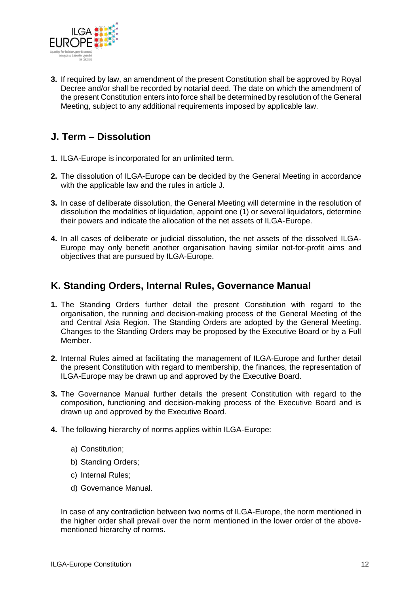

**3.** If required by law, an amendment of the present Constitution shall be approved by Royal Decree and/or shall be recorded by notarial deed. The date on which the amendment of the present Constitution enters into force shall be determined by resolution of the General Meeting, subject to any additional requirements imposed by applicable law.

# **J. Term – Dissolution**

- **1.** ILGA-Europe is incorporated for an unlimited term.
- **2.** The dissolution of ILGA-Europe can be decided by the General Meeting in accordance with the applicable law and the rules in article J.
- **3.** In case of deliberate dissolution, the General Meeting will determine in the resolution of dissolution the modalities of liquidation, appoint one (1) or several liquidators, determine their powers and indicate the allocation of the net assets of ILGA-Europe.
- **4.** In all cases of deliberate or judicial dissolution, the net assets of the dissolved ILGA-Europe may only benefit another organisation having similar not-for-profit aims and objectives that are pursued by ILGA-Europe.

#### **K. Standing Orders, Internal Rules, Governance Manual**

- **1.** The Standing Orders further detail the present Constitution with regard to the organisation, the running and decision-making process of the General Meeting of the and Central Asia Region. The Standing Orders are adopted by the General Meeting. Changes to the Standing Orders may be proposed by the Executive Board or by a Full Member.
- **2.** Internal Rules aimed at facilitating the management of ILGA-Europe and further detail the present Constitution with regard to membership, the finances, the representation of ILGA-Europe may be drawn up and approved by the Executive Board.
- **3.** The Governance Manual further details the present Constitution with regard to the composition, functioning and decision-making process of the Executive Board and is drawn up and approved by the Executive Board.
- **4.** The following hierarchy of norms applies within ILGA-Europe:
	- a) Constitution;
	- b) Standing Orders;
	- c) Internal Rules;
	- d) Governance Manual.

In case of any contradiction between two norms of ILGA-Europe, the norm mentioned in the higher order shall prevail over the norm mentioned in the lower order of the abovementioned hierarchy of norms.